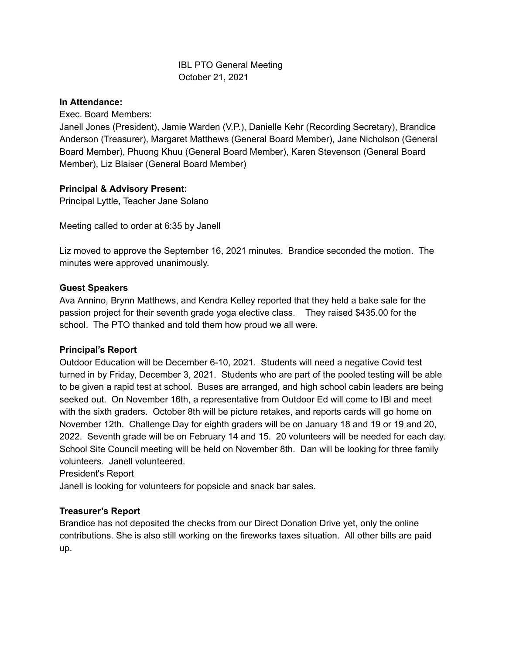# IBL PTO General Meeting October 21, 2021

## **In Attendance:**

Exec. Board Members:

Janell Jones (President), Jamie Warden (V.P.), Danielle Kehr (Recording Secretary), Brandice Anderson (Treasurer), Margaret Matthews (General Board Member), Jane Nicholson (General Board Member), Phuong Khuu (General Board Member), Karen Stevenson (General Board Member), Liz Blaiser (General Board Member)

## **Principal & Advisory Present:**

Principal Lyttle, Teacher Jane Solano

Meeting called to order at 6:35 by Janell

Liz moved to approve the September 16, 2021 minutes. Brandice seconded the motion. The minutes were approved unanimously.

## **Guest Speakers**

Ava Annino, Brynn Matthews, and Kendra Kelley reported that they held a bake sale for the passion project for their seventh grade yoga elective class. They raised \$435.00 for the school. The PTO thanked and told them how proud we all were.

## **Principal's Report**

Outdoor Education will be December 6-10, 2021. Students will need a negative Covid test turned in by Friday, December 3, 2021. Students who are part of the pooled testing will be able to be given a rapid test at school. Buses are arranged, and high school cabin leaders are being seeked out. On November 16th, a representative from Outdoor Ed will come to IBl and meet with the sixth graders. October 8th will be picture retakes, and reports cards will go home on November 12th. Challenge Day for eighth graders will be on January 18 and 19 or 19 and 20, 2022. Seventh grade will be on February 14 and 15. 20 volunteers will be needed for each day. School Site Council meeting will be held on November 8th. Dan will be looking for three family volunteers. Janell volunteered.

President's Report

Janell is looking for volunteers for popsicle and snack bar sales.

## **Treasurer's Report**

Brandice has not deposited the checks from our Direct Donation Drive yet, only the online contributions. She is also still working on the fireworks taxes situation. All other bills are paid up.